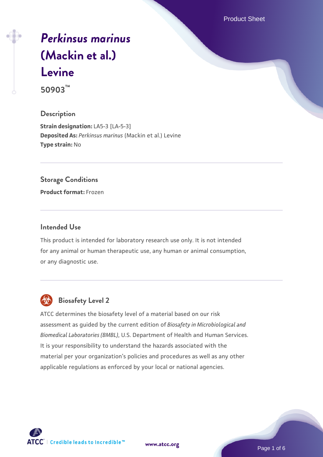Product Sheet

# *[Perkinsus marinus](https://www.atcc.org/products/50903)* **[\(Mackin et al.\)](https://www.atcc.org/products/50903) [Levine](https://www.atcc.org/products/50903)**

**50903™**

# **Description**

**Strain designation:** LA5-3 [LA-5-3] **Deposited As:** *Perkinsus marinus* (Mackin et al.) Levine **Type strain:** No

# **Storage Conditions**

**Product format:** Frozen

# **Intended Use**

This product is intended for laboratory research use only. It is not intended for any animal or human therapeutic use, any human or animal consumption, or any diagnostic use.



# **Biosafety Level 2**

ATCC determines the biosafety level of a material based on our risk assessment as guided by the current edition of *Biosafety in Microbiological and Biomedical Laboratories (BMBL)*, U.S. Department of Health and Human Services. It is your responsibility to understand the hazards associated with the material per your organization's policies and procedures as well as any other applicable regulations as enforced by your local or national agencies.

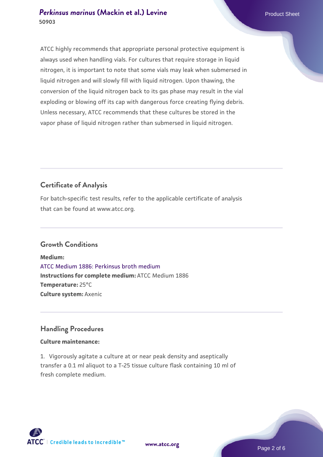# **[Perkinsus marinus](https://www.atcc.org/products/50903) [\(Mackin et al.\) Levine](https://www.atcc.org/products/50903)** Product Sheet **50903**

ATCC highly recommends that appropriate personal protective equipment is always used when handling vials. For cultures that require storage in liquid nitrogen, it is important to note that some vials may leak when submersed in liquid nitrogen and will slowly fill with liquid nitrogen. Upon thawing, the conversion of the liquid nitrogen back to its gas phase may result in the vial exploding or blowing off its cap with dangerous force creating flying debris. Unless necessary, ATCC recommends that these cultures be stored in the vapor phase of liquid nitrogen rather than submersed in liquid nitrogen.

# **Certificate of Analysis**

For batch-specific test results, refer to the applicable certificate of analysis that can be found at www.atcc.org.

# **Growth Conditions**

**Medium:**  [ATCC Medium 1886: Perkinsus broth medium](https://www.atcc.org/-/media/product-assets/documents/microbial-media-formulations/atcc-medium-1886.pdf?rev=3f191fd8ade443aca9e8e4826432baa3) **Instructions for complete medium:** ATCC Medium 1886 **Temperature:** 25°C **Culture system:** Axenic

# **Handling Procedures**

# **Culture maintenance:**

1. Vigorously agitate a culture at or near peak density and aseptically transfer a 0.1 ml aliquot to a T-25 tissue culture flask containing 10 ml of fresh complete medium.

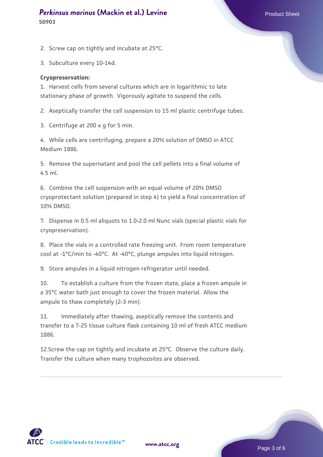# **[Perkinsus marinus](https://www.atcc.org/products/50903) [\(Mackin et al.\) Levine](https://www.atcc.org/products/50903)** Product Sheet **50903**

2. Screw cap on tightly and incubate at 25°C.

3. Subculture every 10-14d.

#### **Cryopreservation:**

1. Harvest cells from several cultures which are in logarithmic to late stationary phase of growth. Vigorously agitate to suspend the cells.

2. Aseptically transfer the cell suspension to 15 ml plastic centrifuge tubes.

3. Centrifuge at 200 x g for 5 min.

4. While cells are centrifuging, prepare a 20% solution of DMSO in ATCC Medium 1886.

5. Remove the supernatant and pool the cell pellets into a final volume of 4.5 ml.

6. Combine the cell suspension with an equal volume of 20% DMSO cryoprotectant solution (prepared in step 4) to yield a final concentration of 10% DMSO.

7. Dispense in 0.5 ml aliquots to 1.0-2.0 ml Nunc vials (special plastic vials for cryopreservation).

8. Place the vials in a controlled rate freezing unit. From room temperature cool at -1°C/min to -40°C. At -40°C, plunge ampules into liquid nitrogen.

9. Store ampules in a liquid nitrogen refrigerator until needed.

10. To establish a culture from the frozen state, place a frozen ampule in a 35°C water bath just enough to cover the frozen material. Allow the ampule to thaw completely (2-3 min).

11. Immediately after thawing, aseptically remove the contents and transfer to a T-25 tissue culture flask containing 10 ml of fresh ATCC medium 1886.

12.Screw the cap on tightly and incubate at 25°C. Observe the culture daily. Transfer the culture when many trophozoites are observed.

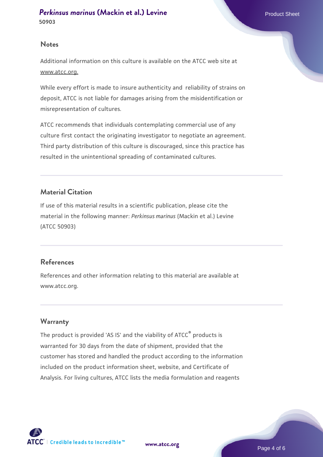### **Notes**

Additional information on this culture is available on the ATCC web site at www.atcc.org.

While every effort is made to insure authenticity and reliability of strains on deposit, ATCC is not liable for damages arising from the misidentification or misrepresentation of cultures.

ATCC recommends that individuals contemplating commercial use of any culture first contact the originating investigator to negotiate an agreement. Third party distribution of this culture is discouraged, since this practice has resulted in the unintentional spreading of contaminated cultures.

# **Material Citation**

If use of this material results in a scientific publication, please cite the material in the following manner: *Perkinsus marinus* (Mackin et al.) Levine (ATCC 50903)

# **References**

References and other information relating to this material are available at www.atcc.org.

# **Warranty**

The product is provided 'AS IS' and the viability of ATCC® products is warranted for 30 days from the date of shipment, provided that the customer has stored and handled the product according to the information included on the product information sheet, website, and Certificate of Analysis. For living cultures, ATCC lists the media formulation and reagents

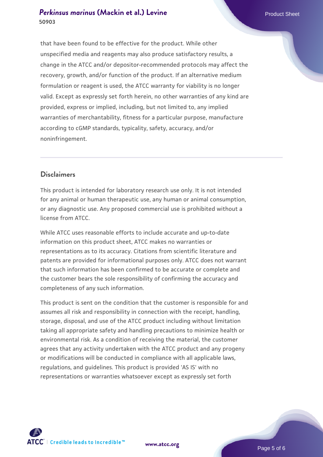# **[Perkinsus marinus](https://www.atcc.org/products/50903) [\(Mackin et al.\) Levine](https://www.atcc.org/products/50903)** Product Sheet **50903**

that have been found to be effective for the product. While other unspecified media and reagents may also produce satisfactory results, a change in the ATCC and/or depositor-recommended protocols may affect the recovery, growth, and/or function of the product. If an alternative medium formulation or reagent is used, the ATCC warranty for viability is no longer valid. Except as expressly set forth herein, no other warranties of any kind are provided, express or implied, including, but not limited to, any implied warranties of merchantability, fitness for a particular purpose, manufacture according to cGMP standards, typicality, safety, accuracy, and/or noninfringement.

# **Disclaimers**

This product is intended for laboratory research use only. It is not intended for any animal or human therapeutic use, any human or animal consumption, or any diagnostic use. Any proposed commercial use is prohibited without a license from ATCC.

While ATCC uses reasonable efforts to include accurate and up-to-date information on this product sheet, ATCC makes no warranties or representations as to its accuracy. Citations from scientific literature and patents are provided for informational purposes only. ATCC does not warrant that such information has been confirmed to be accurate or complete and the customer bears the sole responsibility of confirming the accuracy and completeness of any such information.

This product is sent on the condition that the customer is responsible for and assumes all risk and responsibility in connection with the receipt, handling, storage, disposal, and use of the ATCC product including without limitation taking all appropriate safety and handling precautions to minimize health or environmental risk. As a condition of receiving the material, the customer agrees that any activity undertaken with the ATCC product and any progeny or modifications will be conducted in compliance with all applicable laws, regulations, and guidelines. This product is provided 'AS IS' with no representations or warranties whatsoever except as expressly set forth



**[www.atcc.org](http://www.atcc.org)**

Page 5 of 6